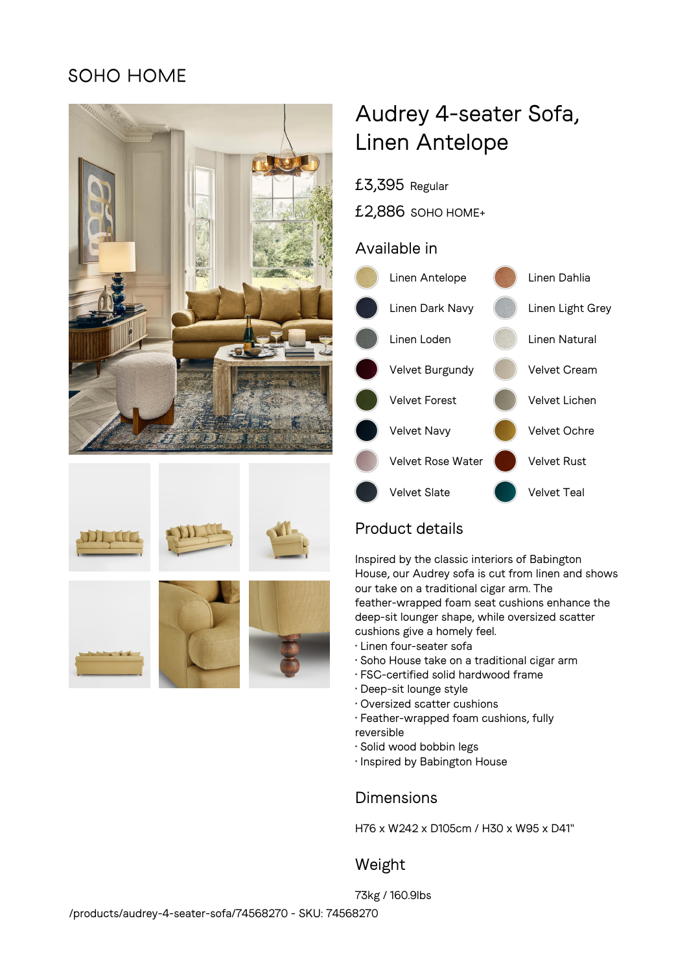## SOHO HOME





# Audrey 4-seater Sofa, Linen Antelope

£3,395 Regular

£2,886 SOHO HOME+

### Available in



## Product details

Inspired by the classic interiors of Babington House, our Audrey sofa is cut from linen and shows our take on a traditional cigar arm. The feather-wrapped foam seat cushions enhance the deep-sit lounger shape, while oversized scatter cushions give a homely feel.

- Linen four-seater sofa
- Soho House take on a traditional cigar arm
- FSC-certified solid hardwood frame
- Deep-sit lounge style
- Oversized scatter cushions
- Feather-wrapped foam cushions, fully reversible
- Solid wood bobbin legs
- Inspired by Babington House

## **Dimensions**

H76 x W242 x D105cm / H30 x W95 x D41"

## Weight

73kg / 160.9lbs